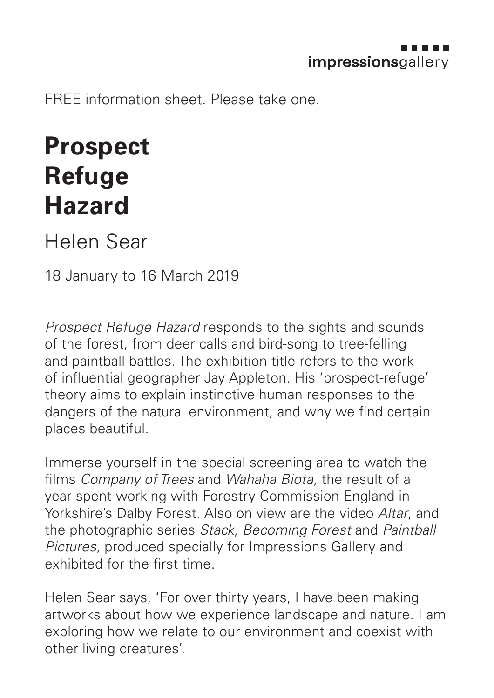FREE information sheet. Please take one.

## **Prospect Refuge Hazard**

Helen Sear

18 January to 16 March 2019

*Prospect Refuge Hazard* responds to the sights and sounds of the forest, from deer calls and bird-song to tree-felling and paintball battles. The exhibition title refers to the work of influential geographer Jay Appleton. His 'prospect-refuge' theory aims to explain instinctive human responses to the dangers of the natural environment, and why we find certain places beautiful.

Immerse yourself in the special screening area to watch the films *Company of Trees* and *Wahaha Biota*, the result of a year spent working with Forestry Commission England in Yorkshire's Dalby Forest. Also on view are the video *Altar*, and the photographic series *Stack*, *Becoming Forest* and *Paintball Pictures*, produced specially for Impressions Gallery and exhibited for the first time.

Helen Sear says, 'For over thirty years, I have been making artworks about how we experience landscape and nature. I am exploring how we relate to our environment and coexist with other living creatures'.